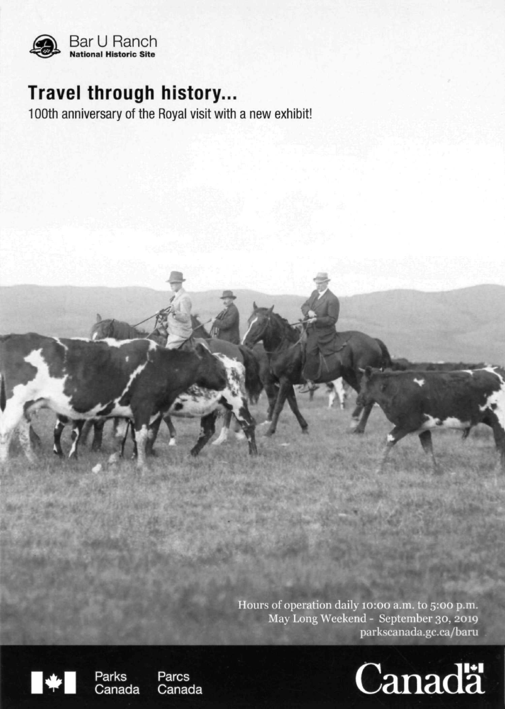

# **Travel through history...**

100th anniversary of the Royal visit with a new exhibit!

Hours of operation daily 10:00 a.m. to 5:00 p.m. May Long Weekend - September 30, 2019 parkscanada.gc.ca/bam





Canada

**Parcs** Canada